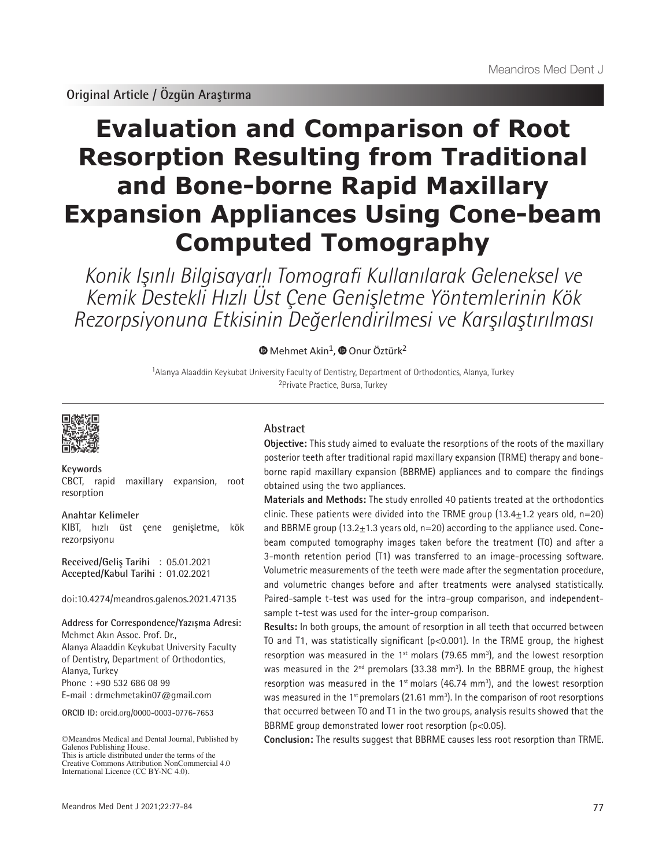# **Evaluation and Comparison of Root Resorption Resulting from Traditional and Bone-borne Rapid Maxillary Expansion Appliances Using Cone-beam Computed Tomography**

Konik Işınlı Bilgisayarlı Tomografi Kullanılarak Geleneksel ve Kemik Destekli Hızlı Üst Çene Genişletme Yöntemlerinin Kök Rezorpsiyonuna Etkisinin Değerlendirilmesi ve Karşılaştırılması

**MehmetAkin<sup>1</sup>**, **O** Onur Öztürk<sup>2</sup>

<sup>1</sup>Alanya Alaaddin Keykubat University Faculty of Dentistry, Department of Orthodontics, Alanya, Turkey <sup>2</sup>Private Practice, Bursa, Turkey



**Keywords** CBCT, rapid maxillary expansion, root resorption

**Anahtar Kelimeler** KIBT, hızlı üst çene genişletme, kök rezorpsiyonu

**Received/Geliş Tarihi** : 05.01.2021 **Accepted/Kabul Tarihi** : 01.02.2021

doi:10.4274/meandros.galenos.2021.47135

**Address for Correspondence/Yazışma Adresi:** Mehmet Akın Assoc. Prof. Dr., Alanya Alaaddin Keykubat University Faculty of Dentistry, Department of Orthodontics, Alanya, Turkey Phone : +90 532 686 08 99 E-mail : drmehmetakin07@gmail.com

**ORCID ID:** orcid.org/0000-0003-0776-7653

©Meandros Medical and Dental Journal, Published by Galenos Publishing House. This is article distributed under the terms of the

Creative Commons Attribution NonCommercial 4.0 International Licence (CC BY-NC 4.0).

# **Abstract**

**Objective:** This study aimed to evaluate the resorptions of the roots of the maxillary posterior teeth after traditional rapid maxillary expansion (TRME) therapy and boneborne rapid maxillary expansion (BBRME) appliances and to compare the findings obtained using the two appliances.

**Materials and Methods:** The study enrolled 40 patients treated at the orthodontics clinic. These patients were divided into the TRME group  $(13.4 \pm 1.2$  years old, n=20) and BBRME group  $(13.2 \pm 1.3$  years old, n=20) according to the appliance used. Conebeam computed tomography images taken before the treatment (T0) and after a 3-month retention period (T1) was transferred to an image-processing software. Volumetric measurements of the teeth were made after the segmentation procedure, and volumetric changes before and after treatments were analysed statistically. Paired-sample t-test was used for the intra-group comparison, and independentsample t-test was used for the inter-group comparison.

**Results:** In both groups, the amount of resorption in all teeth that occurred between T0 and T1, was statistically significant (p<0.001). In the TRME group, the highest resorption was measured in the  $1<sup>st</sup>$  molars (79.65 mm<sup>3</sup>), and the lowest resorption was measured in the  $2^{nd}$  premolars (33.38 mm<sup>3</sup>). In the BBRME group, the highest resorption was measured in the  $1<sup>st</sup>$  molars (46.74 mm<sup>3</sup>), and the lowest resorption was measured in the 1<sup>st</sup> premolars (21.61 mm<sup>3</sup>). In the comparison of root resorptions that occurred between T0 and T1 in the two groups, analysis results showed that the BBRME group demonstrated lower root resorption (p<0.05).

**Conclusion:** The results suggest that BBRME causes less root resorption than TRME.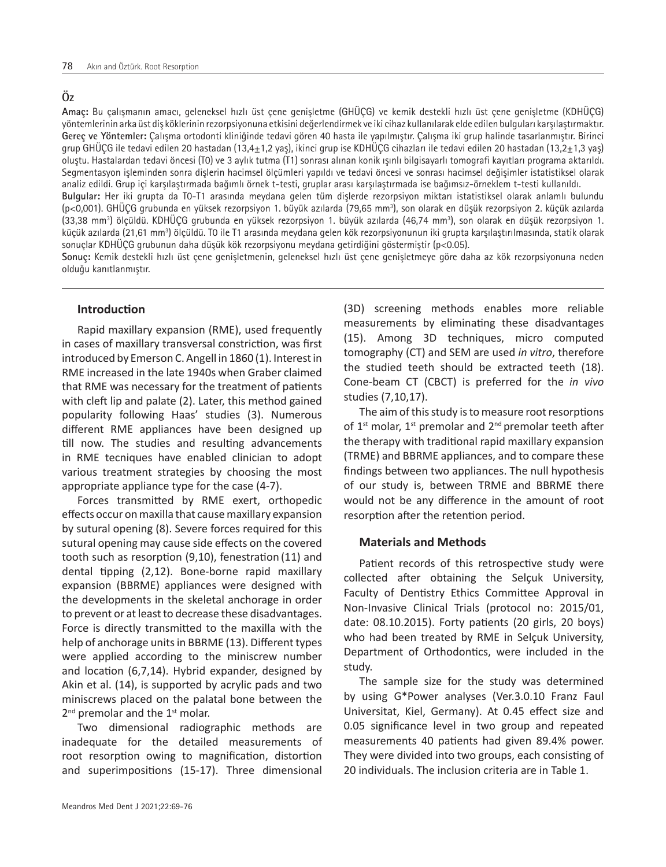# **Öz**

**Amaç:** Bu çalışmanın amacı, geleneksel hızlı üst çene genişletme (GHÜÇG) ve kemik destekli hızlı üst çene genişletme (KDHÜÇG) yöntemlerinin arka üst diş köklerinin rezorpsiyonuna etkisini değerlendirmek ve iki cihaz kullanılarak elde edilen bulguları karşılaştırmaktır. **Gereç ve Yöntemler:** Çalışma ortodonti kliniğinde tedavi gören 40 hasta ile yapılmıştır. Çalışma iki grup halinde tasarlanmıştır. Birinci grup GHÜÇG ile tedavi edilen 20 hastadan (13,4±1,2 yaş), ikinci grup ise KDHÜÇG cihazları ile tedavi edilen 20 hastadan (13,2±1,3 yaş) oluştu. Hastalardan tedavi öncesi (T0) ve 3 aylık tutma (T1) sonrası alınan konik ışınlı bilgisayarlı tomografi kayıtları programa aktarıldı. Segmentasyon işleminden sonra dişlerin hacimsel ölçümleri yapıldı ve tedavi öncesi ve sonrası hacimsel değişimler istatistiksel olarak analiz edildi. Grup içi karşılaştırmada bağımlı örnek t-testi, gruplar arası karşılaştırmada ise bağımsız-örneklem t-testi kullanıldı. **Bulgular:** Her iki grupta da T0-T1 arasında meydana gelen tüm dişlerde rezorpsiyon miktarı istatistiksel olarak anlamlı bulundu (p<0,001). GHÜÇG grubunda en yüksek rezorpsiyon 1. büyük azılarda (79,65 mm<sup>3</sup>), son olarak en düşük rezorpsiyon 2. küçük azılarda

(33,38 mm3 ) ölçüldü. KDHÜÇG grubunda en yüksek rezorpsiyon 1. büyük azılarda (46,74 mm3 ), son olarak en düşük rezorpsiyon 1. küçük azılarda (21,61 mm<sup>3</sup>) ölçüldü. T0 ile T1 arasında meydana gelen kök rezorpsiyonunun iki grupta karşılaştırılmasında, statik olarak sonuçlar KDHÜÇG grubunun daha düşük kök rezorpsiyonu meydana getirdiğini göstermiştir (p<0.05).

**Sonuç:** Kemik destekli hızlı üst çene genişletmenin, geleneksel hızlı üst çene genişletmeye göre daha az kök rezorpsiyonuna neden olduğu kanıtlanmıştır.

## **Introduction**

Rapid maxillary expansion (RME), used frequently in cases of maxillary transversal constriction, was first introduced by Emerson C. Angell in 1860 (1). Interest in RME increased in the late 1940s when Graber claimed that RME was necessary for the treatment of patients with cleft lip and palate (2). Later, this method gained popularity following Haas' studies (3). Numerous different RME appliances have been designed up till now. The studies and resulting advancements in RME tecniques have enabled clinician to adopt various treatment strategies by choosing the most appropriate appliance type for the case (4-7).

Forces transmitted by RME exert, orthopedic effects occur on maxilla that cause maxillary expansion by sutural opening (8). Severe forces required for this sutural opening may cause side effects on the covered tooth such as resorption (9,10), fenestration (11) and dental tipping (2,12). Bone-borne rapid maxillary expansion (BBRME) appliances were designed with the developments in the skeletal anchorage in order to prevent or at least to decrease these disadvantages. Force is directly transmitted to the maxilla with the help of anchorage units in BBRME (13). Different types were applied according to the miniscrew number and location (6,7,14). Hybrid expander, designed by Akin et al. (14), is supported by acrylic pads and two miniscrews placed on the palatal bone between the  $2^{nd}$  premolar and the  $1^{st}$  molar.

Two dimensional radiographic methods are inadequate for the detailed measurements of root resorption owing to magnification, distortion and superimpositions (15-17). Three dimensional

study.

The sample size for the study was determined by using G\*Power analyses (Ver.3.0.10 Franz Faul Universitat, Kiel, Germany). At 0.45 effect size and 0.05 significance level in two group and repeated measurements 40 patients had given 89.4% power. They were divided into two groups, each consisting of 20 individuals. The inclusion criteria are in Table 1.

(3D) screening methods enables more reliable measurements by eliminating these disadvantages (15). Among 3D techniques, micro computed tomography (CT) and SEM are used *in vitro*, therefore the studied teeth should be extracted teeth (18). Cone-beam CT (CBCT) is preferred for the *in vivo* studies (7,10,17).

The aim of this study is to measure root resorptions of  $1<sup>st</sup>$  molar,  $1<sup>st</sup>$  premolar and  $2<sup>nd</sup>$  premolar teeth after the therapy with traditional rapid maxillary expansion (TRME) and BBRME appliances, and to compare these findings between two appliances. The null hypothesis of our study is, between TRME and BBRME there would not be any difference in the amount of root resorption after the retention period.

## **Materials and Methods**

Patient records of this retrospective study were collected after obtaining the Selçuk University, Faculty of Dentistry Ethics Committee Approval in Non-Invasive Clinical Trials (protocol no: 2015/01, date: 08.10.2015). Forty patients (20 girls, 20 boys) who had been treated by RME in Selçuk University, Department of Orthodontics, were included in the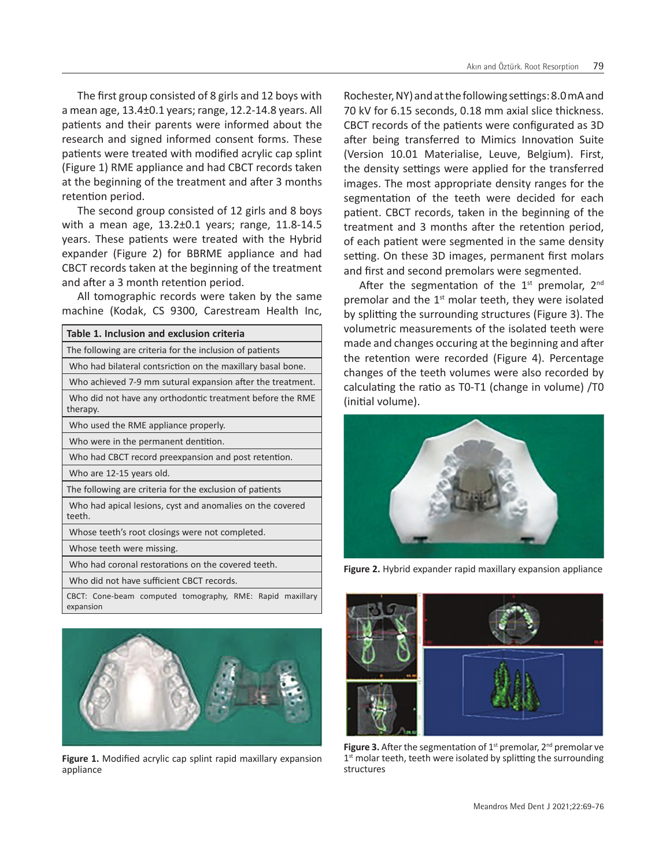The first group consisted of 8 girls and 12 boys with a mean age, 13.4±0.1 years; range, 12.2-14.8 years. All patients and their parents were informed about the research and signed informed consent forms. These patients were treated with modified acrylic cap splint (Figure 1) RME appliance and had CBCT records taken at the beginning of the treatment and after 3 months retention period.

The second group consisted of 12 girls and 8 boys with a mean age, 13.2±0.1 years; range, 11.8-14.5 years. These patients were treated with the Hybrid expander (Figure 2) for BBRME appliance and had CBCT records taken at the beginning of the treatment and after a 3 month retention period.

All tomographic records were taken by the same machine (Kodak, CS 9300, Carestream Health Inc,

| Table 1. Inclusion and exclusion criteria                              |  |  |  |  |  |
|------------------------------------------------------------------------|--|--|--|--|--|
| The following are criteria for the inclusion of patients               |  |  |  |  |  |
| Who had bilateral contsriction on the maxillary basal bone.            |  |  |  |  |  |
| Who achieved 7-9 mm sutural expansion after the treatment.             |  |  |  |  |  |
| Who did not have any orthodontic treatment before the RME<br>therapy.  |  |  |  |  |  |
| Who used the RME appliance properly.                                   |  |  |  |  |  |
| Who were in the permanent dentition.                                   |  |  |  |  |  |
| Who had CBCT record preexpansion and post retention.                   |  |  |  |  |  |
| Who are 12-15 years old.                                               |  |  |  |  |  |
| The following are criteria for the exclusion of patients               |  |  |  |  |  |
| Who had apical lesions, cyst and anomalies on the covered<br>teeth.    |  |  |  |  |  |
| Whose teeth's root closings were not completed.                        |  |  |  |  |  |
| Whose teeth were missing.                                              |  |  |  |  |  |
| Who had coronal restorations on the covered teeth.                     |  |  |  |  |  |
| Who did not have sufficient CBCT records.                              |  |  |  |  |  |
| CBCT: Cone-beam computed tomography, RME: Rapid maxillary<br>expansion |  |  |  |  |  |



**Figure 1.** Modified acrylic cap splint rapid maxillary expansion appliance

Rochester, NY) and at the following settings: 8.0 mA and 70 kV for 6.15 seconds, 0.18 mm axial slice thickness. CBCT records of the patients were configurated as 3D after being transferred to Mimics Innovation Suite (Version 10.01 Materialise, Leuve, Belgium). First, the density settings were applied for the transferred images. The most appropriate density ranges for the segmentation of the teeth were decided for each patient. CBCT records, taken in the beginning of the treatment and 3 months after the retention period, of each patient were segmented in the same density setting. On these 3D images, permanent first molars and first and second premolars were segmented.

After the segmentation of the  $1<sup>st</sup>$  premolar,  $2<sup>nd</sup>$ premolar and the  $1<sup>st</sup>$  molar teeth, they were isolated by splitting the surrounding structures (Figure 3). The volumetric measurements of the isolated teeth were made and changes occuring at the beginning and after the retention were recorded (Figure 4). Percentage changes of the teeth volumes were also recorded by calculating the ratio as T0-T1 (change in volume) /T0 (initial volume).



**Figure 2.** Hybrid expander rapid maxillary expansion appliance



**Figure 3.** After the segmentation of  $1<sup>st</sup>$  premolar,  $2<sup>nd</sup>$  premolar ve  $1<sup>st</sup>$  molar teeth, teeth were isolated by splitting the surrounding structures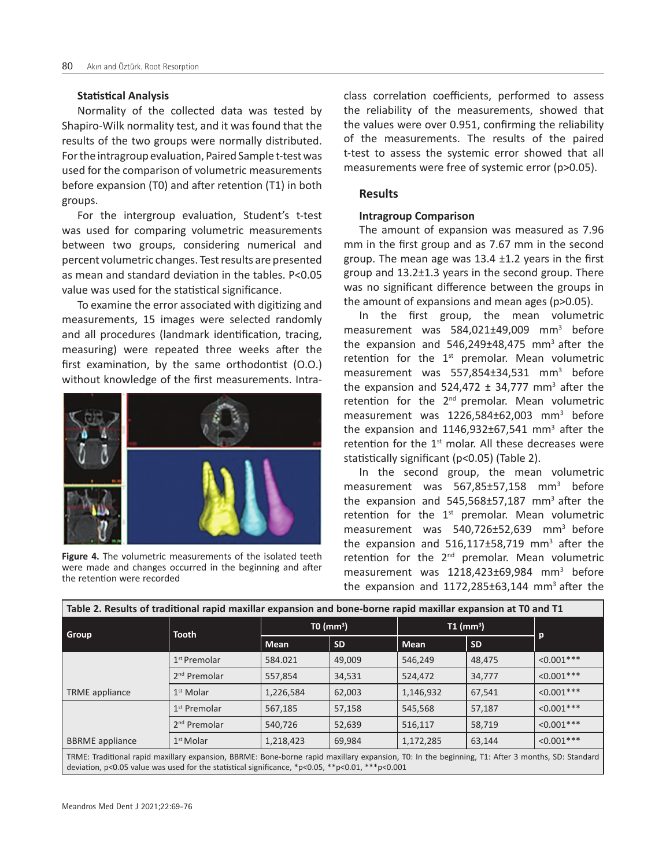#### **Statistical Analysis**

Normality of the collected data was tested by Shapiro-Wilk normality test, and it was found that the results of the two groups were normally distributed. For the intragroup evaluation, Paired Sample t-test was used for the comparison of volumetric measurements before expansion (T0) and after retention (T1) in both groups.

For the intergroup evaluation, Student's t-test was used for comparing volumetric measurements between two groups, considering numerical and percent volumetric changes. Test results are presented as mean and standard deviation in the tables. P<0.05 value was used for the statistical significance.

To examine the error associated with digitizing and measurements, 15 images were selected randomly and all procedures (landmark identification, tracing, measuring) were repeated three weeks after the first examination, by the same orthodontist (O.O.) without knowledge of the first measurements. Intra-



**Figure 4.** The volumetric measurements of the isolated teeth were made and changes occurred in the beginning and after the retention were recorded

class correlation coefficients, performed to assess the reliability of the measurements, showed that the values were over 0.951, confirming the reliability of the measurements. The results of the paired t-test to assess the systemic error showed that all measurements were free of systemic error (p>0.05).

#### **Results**

## **Intragroup Comparison**

The amount of expansion was measured as 7.96 mm in the first group and as 7.67 mm in the second group. The mean age was  $13.4 \pm 1.2$  years in the first group and 13.2±1.3 years in the second group. There was no significant difference between the groups in the amount of expansions and mean ages (p>0.05).

In the first group, the mean volumetric measurement was  $584,021\pm49,009$  mm<sup>3</sup> before the expansion and  $546,249\pm48,475$  mm<sup>3</sup> after the retention for the  $1<sup>st</sup>$  premolar. Mean volumetric measurement was 557,854±34,531 mm<sup>3</sup> before the expansion and  $524,472 \pm 34,777$  mm<sup>3</sup> after the retention for the  $2<sup>nd</sup>$  premolar. Mean volumetric measurement was 1226,584±62,003 mm<sup>3</sup> before the expansion and  $1146,932\pm67,541$  mm<sup>3</sup> after the retention for the  $1<sup>st</sup>$  molar. All these decreases were statistically significant (p<0.05) (Table 2).

In the second group, the mean volumetric measurement was 567,85±57,158 mm<sup>3</sup> before the expansion and 545,568±57,187 mm<sup>3</sup> after the retention for the  $1<sup>st</sup>$  premolar. Mean volumetric measurement was 540,726±52,639 mm<sup>3</sup> before the expansion and  $516,117\pm58,719$  mm<sup>3</sup> after the retention for the  $2<sup>nd</sup>$  premolar. Mean volumetric measurement was 1218,423±69,984 mm<sup>3</sup> before the expansion and  $1172,285\pm63,144$  mm<sup>3</sup> after the

| Group                  | <b>Tooth</b>             | TO (mm <sup>3</sup> ) |           | $T1$ (mm <sup>3</sup> ) |           |              |
|------------------------|--------------------------|-----------------------|-----------|-------------------------|-----------|--------------|
|                        |                          | <b>Mean</b>           | <b>SD</b> | <b>Mean</b>             | <b>SD</b> | $\mathsf{p}$ |
|                        | 1 <sup>st</sup> Premolar | 584.021               | 49,009    | 546,249                 | 48.475    | $< 0.001***$ |
|                        | $2nd$ Premolar           | 557,854               | 34,531    | 524.472                 | 34,777    | $< 0.001***$ |
| <b>TRME</b> appliance  | $1st$ Molar              | 1,226,584             | 62,003    | 1,146,932               | 67,541    | $< 0.001***$ |
|                        | $1st$ Premolar           | 567,185               | 57,158    | 545,568                 | 57,187    | $< 0.001***$ |
|                        | $2nd$ Premolar           | 540.726               | 52,639    | 516,117                 | 58,719    | $< 0.001***$ |
| <b>BBRME</b> appliance | $1st$ Molar              | 1,218,423             | 69,984    | 1,172,285               | 63,144    | $< 0.001***$ |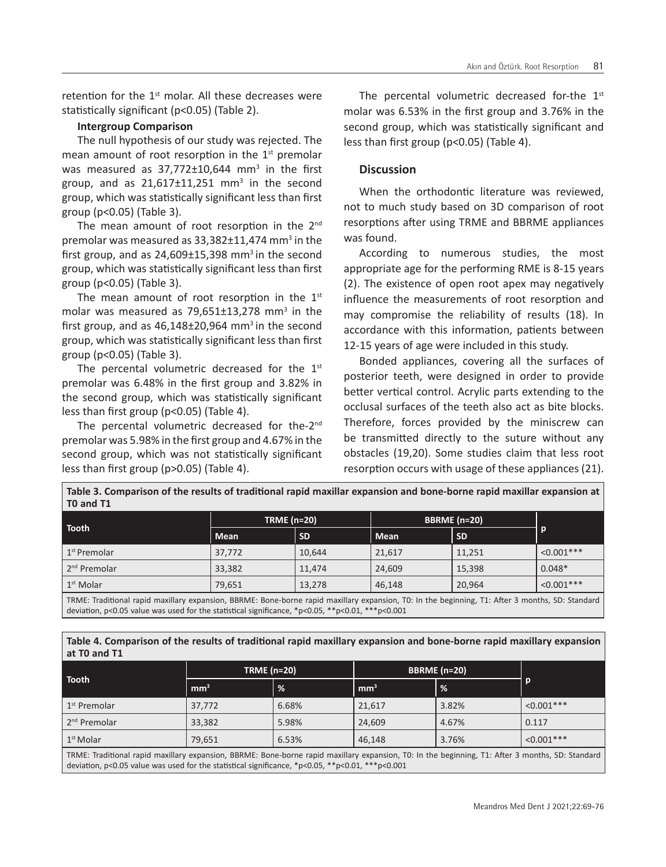retention for the  $1<sup>st</sup>$  molar. All these decreases were statistically significant (p<0.05) (Table 2).

### **Intergroup Comparison**

The null hypothesis of our study was rejected. The mean amount of root resorption in the  $1<sup>st</sup>$  premolar was measured as  $37,772\pm10,644$  mm<sup>3</sup> in the first group, and as  $21,617 \pm 11,251$  mm<sup>3</sup> in the second group, which was statistically significant less than first group (p<0.05) (Table 3).

The mean amount of root resorption in the 2<sup>nd</sup> premolar was measured as 33,382±11,474 mm<sup>3</sup> in the first group, and as  $24,609\pm15,398$  mm<sup>3</sup> in the second group, which was statistically significant less than first group (p<0.05) (Table 3).

The mean amount of root resorption in the  $1<sup>st</sup>$ molar was measured as  $79,651\pm13,278$  mm<sup>3</sup> in the first group, and as  $46,148\pm20,964$  mm<sup>3</sup> in the second group, which was statistically significant less than first group (p<0.05) (Table 3).

The percental volumetric decreased for the  $1<sup>st</sup>$ premolar was 6.48% in the first group and 3.82% in the second group, which was statistically significant less than first group (p<0.05) (Table 4).

The percental volumetric decreased for the-2<sup>nd</sup> premolar was 5.98% in the first group and 4.67% in the second group, which was not statistically significant less than first group (p>0.05) (Table 4).

The percental volumetric decreased for-the  $1<sup>st</sup>$ molar was 6.53% in the first group and 3.76% in the second group, which was statistically significant and less than first group (p<0.05) (Table 4).

# **Discussion**

When the orthodontic literature was reviewed, not to much study based on 3D comparison of root resorptions after using TRME and BBRME appliances was found.

According to numerous studies, the most appropriate age for the performing RME is 8-15 years (2). The existence of open root apex may negatively influence the measurements of root resorption and may compromise the reliability of results (18). In accordance with this information, patients between 12-15 years of age were included in this study.

Bonded appliances, covering all the surfaces of posterior teeth, were designed in order to provide better vertical control. Acrylic parts extending to the occlusal surfaces of the teeth also act as bite blocks. Therefore, forces provided by the miniscrew can be transmitted directly to the suture without any obstacles (19,20). Some studies claim that less root resorption occurs with usage of these appliances (21).

**Table 3. Comparison of the results of traditional rapid maxillar expansion and bone-borne rapid maxillar expansion at T0 and T1**

| .                                                                                                                            |                    |           |                     |           |               |  |  |
|------------------------------------------------------------------------------------------------------------------------------|--------------------|-----------|---------------------|-----------|---------------|--|--|
| <b>Tooth</b>                                                                                                                 | <b>TRME (n=20)</b> |           | <b>BBRME</b> (n=20) |           |               |  |  |
|                                                                                                                              | Mean               | <b>SD</b> | Mean                | <b>SD</b> | ΙP            |  |  |
| 1 <sup>st</sup> Premolar                                                                                                     | 37,772             | 10,644    | 21,617              | 11,251    | $< 0.001$ *** |  |  |
| 2 <sup>nd</sup> Premolar                                                                                                     | 33,382             | 11,474    | 24,609              | 15,398    | $0.048*$      |  |  |
| $\vert$ 1 <sup>st</sup> Molar                                                                                                | 79,651             | 13,278    | 46,148              | 20,964    | $< 0.001$ *** |  |  |
| i <del>v</del> ouse with the distribution of the distribution of the second of the second of the second of the second of the |                    |           |                     |           |               |  |  |

TRME: Traditional rapid maxillary expansion, BBRME: Bone-borne rapid maxillary expansion, T0: In the beginning, T1: After 3 months, SD: Standard deviation, p<0.05 value was used for the statistical significance, \*p<0.05, \*\*p<0.01, \*\*\*p<0.001

#### **Table 4. Comparison of the results of traditional rapid maxillary expansion and bone-borne rapid maxillary expansion at T0 and T1**

|                          | <b>TRME (n=20)</b> |       | <b>BBRME</b> (n=20) |       |              |
|--------------------------|--------------------|-------|---------------------|-------|--------------|
| Tooth                    | mm <sup>3</sup>    | %     | mm <sup>3</sup>     | l %   | p            |
| 1 <sup>st</sup> Premolar | 37,772             | 6.68% | 21,617              | 3.82% | $< 0.001***$ |
| 2 <sup>nd</sup> Premolar | 33,382             | 5.98% | 24,609              | 4.67% | 0.117        |
| 1 <sup>st</sup> Molar    | 79,651             | 6.53% | 46,148              | 3.76% | $< 0.001***$ |

TRME: Traditional rapid maxillary expansion, BBRME: Bone-borne rapid maxillary expansion, T0: In the beginning, T1: After 3 months, SD: Standard deviation, p<0.05 value was used for the statistical significance, \*p<0.05, \*\*p<0.01, \*\*\*p<0.001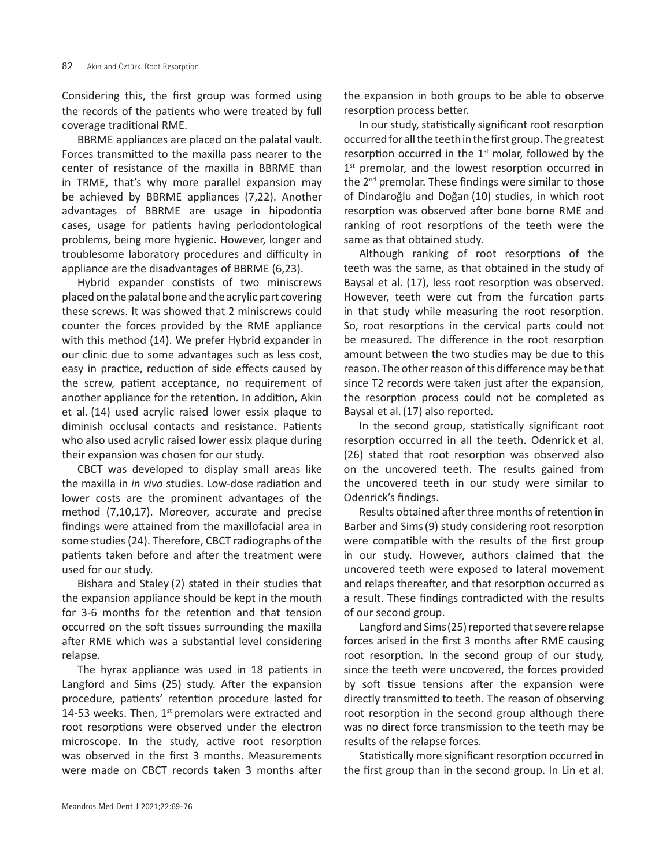Considering this, the first group was formed using the records of the patients who were treated by full coverage traditional RME.

BBRME appliances are placed on the palatal vault. Forces transmitted to the maxilla pass nearer to the center of resistance of the maxilla in BBRME than in TRME, that's why more parallel expansion may be achieved by BBRME appliances (7,22). Another advantages of BBRME are usage in hipodontia cases, usage for patients having periodontological problems, being more hygienic. However, longer and troublesome laboratory procedures and difficulty in appliance are the disadvantages of BBRME (6,23).

Hybrid expander constists of two miniscrews placed on the palatal bone and the acrylic part covering these screws. It was showed that 2 miniscrews could counter the forces provided by the RME appliance with this method (14). We prefer Hybrid expander in our clinic due to some advantages such as less cost, easy in practice, reduction of side effects caused by the screw, patient acceptance, no requirement of another appliance for the retention. In addition, Akin et al. (14) used acrylic raised lower essix plaque to diminish occlusal contacts and resistance. Patients who also used acrylic raised lower essix plaque during their expansion was chosen for our study.

CBCT was developed to display small areas like the maxilla in *in vivo* studies. Low-dose radiation and lower costs are the prominent advantages of the method (7,10,17). Moreover, accurate and precise findings were attained from the maxillofacial area in some studies (24). Therefore, CBCT radiographs of the patients taken before and after the treatment were used for our study.

Bishara and Staley (2) stated in their studies that the expansion appliance should be kept in the mouth for 3-6 months for the retention and that tension occurred on the soft tissues surrounding the maxilla after RME which was a substantial level considering relapse.

The hyrax appliance was used in 18 patients in Langford and Sims (25) study. After the expansion procedure, patients' retention procedure lasted for 14-53 weeks. Then,  $1<sup>st</sup>$  premolars were extracted and root resorptions were observed under the electron microscope. In the study, active root resorption was observed in the first 3 months. Measurements were made on CBCT records taken 3 months after the expansion in both groups to be able to observe resorption process better.

In our study, statistically significant root resorption occurred for all the teeth in the first group. The greatest resorption occurred in the  $1<sup>st</sup>$  molar, followed by the  $1<sup>st</sup>$  premolar, and the lowest resorption occurred in the 2<sup>nd</sup> premolar. These findings were similar to those of Dindaroğlu and Doğan (10) studies, in which root resorption was observed after bone borne RME and ranking of root resorptions of the teeth were the same as that obtained study.

Although ranking of root resorptions of the teeth was the same, as that obtained in the study of Baysal et al. (17), less root resorption was observed. However, teeth were cut from the furcation parts in that study while measuring the root resorption. So, root resorptions in the cervical parts could not be measured. The difference in the root resorption amount between the two studies may be due to this reason. The other reason of this difference may be that since T2 records were taken just after the expansion, the resorption process could not be completed as Baysal et al.(17) also reported.

In the second group, statistically significant root resorption occurred in all the teeth. Odenrick et al. (26) stated that root resorption was observed also on the uncovered teeth. The results gained from the uncovered teeth in our study were similar to Odenrick's findings.

Results obtained after three months of retention in Barber and Sims(9) study considering root resorption were compatible with the results of the first group in our study. However, authors claimed that the uncovered teeth were exposed to lateral movement and relaps thereafter, and that resorption occurred as a result. These findings contradicted with the results of our second group.

Langford and Sims(25) reported that severe relapse forces arised in the first 3 months after RME causing root resorption. In the second group of our study, since the teeth were uncovered, the forces provided by soft tissue tensions after the expansion were directly transmitted to teeth. The reason of observing root resorption in the second group although there was no direct force transmission to the teeth may be results of the relapse forces.

Statistically more significant resorption occurred in the first group than in the second group. In Lin et al.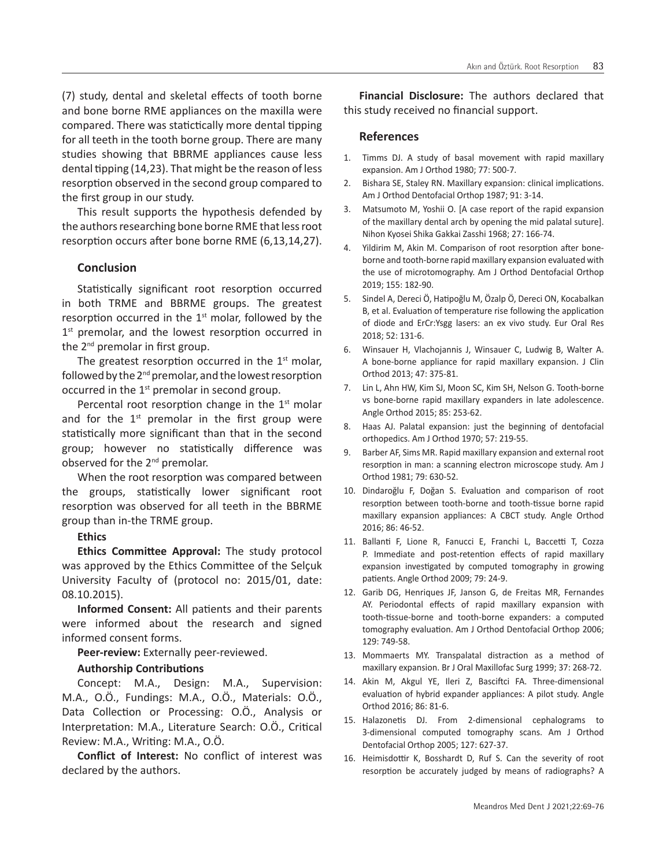(7) study, dental and skeletal effects of tooth borne and bone borne RME appliances on the maxilla were compared. There was statictically more dental tipping for all teeth in the tooth borne group. There are many studies showing that BBRME appliances cause less dental tipping (14,23). That might be the reason of less resorption observed in the second group compared to the first group in our study.

This result supports the hypothesis defended by the authors researching bone borne RME that less root resorption occurs after bone borne RME (6,13,14,27).

## **Conclusion**

Statistically significant root resorption occurred in both TRME and BBRME groups. The greatest resorption occurred in the  $1<sup>st</sup>$  molar, followed by the  $1<sup>st</sup>$  premolar, and the lowest resorption occurred in the 2nd premolar in first group.

The greatest resorption occurred in the  $1<sup>st</sup>$  molar, followed by the  $2<sup>nd</sup>$  premolar, and the lowest resorption occurred in the  $1<sup>st</sup>$  premolar in second group.

Percental root resorption change in the  $1<sup>st</sup>$  molar and for the  $1<sup>st</sup>$  premolar in the first group were statistically more significant than that in the second group; however no statistically difference was observed for the 2nd premolar.

When the root resorption was compared between the groups, statistically lower significant root resorption was observed for all teeth in the BBRME group than in-the TRME group.

**Ethics** 

**Ethics Committee Approval:** The study protocol was approved by the Ethics Committee of the Selçuk University Faculty of (protocol no: 2015/01, date: 08.10.2015).

**Informed Consent:** All patients and their parents were informed about the research and signed informed consent forms.

**Peer-review:** Externally peer-reviewed.

#### **Authorship Contributions**

Concept: M.A., Design: M.A., Supervision: M.A., O.Ö., Fundings: M.A., O.Ö., Materials: O.Ö., Data Collection or Processing: O.Ö., Analysis or Interpretation: M.A., Literature Search: O.Ö., Critical Review: M.A., Writing: M.A., O.Ö.

**Conflict of Interest:** No conflict of interest was declared by the authors.

**Financial Disclosure:** The authors declared that this study received no financial support.

### **References**

- 1. Timms DJ. A study of basal movement with rapid maxillary expansion. Am J Orthod 1980; 77: 500-7.
- 2. Bishara SE, Staley RN. Maxillary expansion: clinical implications. Am J Orthod Dentofacial Orthop 1987; 91: 3-14.
- 3. Matsumoto M, Yoshii O. [A case report of the rapid expansion of the maxillary dental arch by opening the mid palatal suture]. Nihon Kyosei Shika Gakkai Zasshi 1968; 27: 166-74.
- 4. Yildirim M, Akin M. Comparison of root resorption after boneborne and tooth-borne rapid maxillary expansion evaluated with the use of microtomography. Am J Orthod Dentofacial Orthop 2019; 155: 182-90.
- 5. Sindel A, Dereci Ö, Hatipoğlu M, Özalp Ö, Dereci ON, Kocabalkan B, et al. Evaluation of temperature rise following the application of diode and ErCr:Ysgg lasers: an ex vivo study. Eur Oral Res 2018; 52: 131-6.
- 6. Winsauer H, Vlachojannis J, Winsauer C, Ludwig B, Walter A. A bone-borne appliance for rapid maxillary expansion. J Clin Orthod 2013; 47: 375-81.
- 7. Lin L, Ahn HW, Kim SJ, Moon SC, Kim SH, Nelson G. Tooth-borne vs bone-borne rapid maxillary expanders in late adolescence. Angle Orthod 2015; 85: 253-62.
- 8. Haas AJ. Palatal expansion: just the beginning of dentofacial orthopedics. Am J Orthod 1970; 57: 219-55.
- 9. Barber AF, Sims MR. Rapid maxillary expansion and external root resorption in man: a scanning electron microscope study. Am J Orthod 1981; 79: 630-52.
- 10. Dindaroğlu F, Doğan S. Evaluation and comparison of root resorption between tooth-borne and tooth-tissue borne rapid maxillary expansion appliances: A CBCT study. Angle Orthod 2016; 86: 46-52.
- 11. Ballanti F, Lione R, Fanucci E, Franchi L, Baccetti T, Cozza P. Immediate and post-retention effects of rapid maxillary expansion investigated by computed tomography in growing patients. Angle Orthod 2009; 79: 24-9.
- 12. Garib DG, Henriques JF, Janson G, de Freitas MR, Fernandes AY. Periodontal effects of rapid maxillary expansion with tooth-tissue-borne and tooth-borne expanders: a computed tomography evaluation. Am J Orthod Dentofacial Orthop 2006; 129: 749-58.
- 13. Mommaerts MY. Transpalatal distraction as a method of maxillary expansion. Br J Oral Maxillofac Surg 1999; 37: 268-72.
- 14. Akin M, Akgul YE, Ileri Z, Basciftci FA. Three-dimensional evaluation of hybrid expander appliances: A pilot study. Angle Orthod 2016; 86: 81-6.
- 15. Halazonetis DJ. From 2-dimensional cephalograms to 3-dimensional computed tomography scans. Am J Orthod Dentofacial Orthop 2005; 127: 627-37.
- 16. Heimisdottir K, Bosshardt D, Ruf S. Can the severity of root resorption be accurately judged by means of radiographs? A